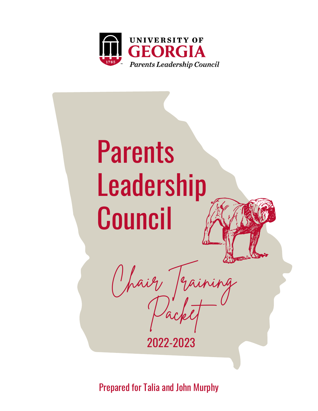



Prepared for Talia and John Murphy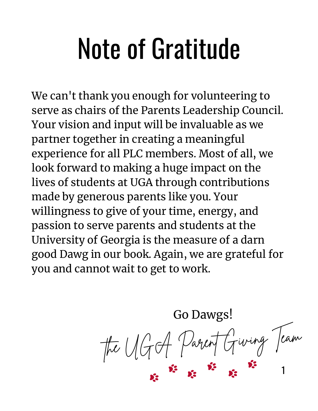### Note of Gratitude

We can't thank you enough for volunteering to serve as chairs of the Parents Leadership Council. Your vision and input will be invaluable as we partner together in creating a meaningful experience for all PLC members. Most of all, we look forward to making a huge impact on the lives of students at UGA through contributions made by generous parents like you. Your willingness to give of your time, energy, and passion to serve parents and students at the University of Georgia is the measure of a darn good Dawg in our book. Again, we are grateful for you and cannot wait to get to work.

> Go Dawgs! the UGA Parent Giving Team 1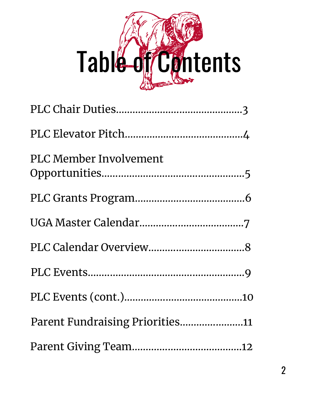# Table of Contents

| PLC Member Involvement          |
|---------------------------------|
|                                 |
|                                 |
|                                 |
|                                 |
|                                 |
| Parent Fundraising Priorities11 |
|                                 |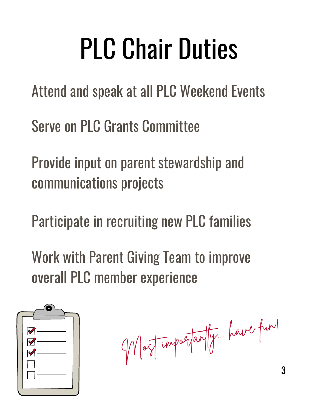# PLC Chair Duties

Attend and speak at all PLC Weekend Events

Serve on PLC Grants Committee

Provide input on parent stewardship and communications projects

Participate in recruiting new PLC families

Work with Parent Giving Team to improve overall PLC member experience



Most importantly... have fun!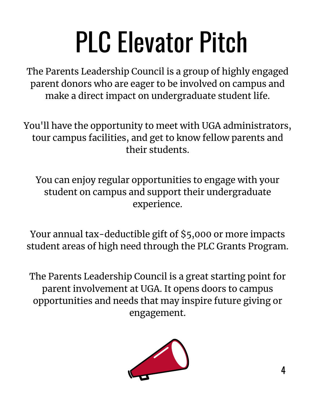# PLC Elevator Pitch

The Parents Leadership Council is a group of highly engaged parent donors who are eager to be involved on campus and make a direct impact on undergraduate student life.

You'll have the opportunity to meet with UGA administrators, tour campus facilities, and get to know fellow parents and their students.

You can enjoy regular opportunities to engage with your student on campus and support their undergraduate experience.

Your annual tax-deductible gift of \$5,000 or more impacts student areas of high need through the PLC Grants Program.

The Parents Leadership Council is a great starting point for parent involvement at UGA. It opens doors to campus opportunities and needs that may inspire future giving or engagement.

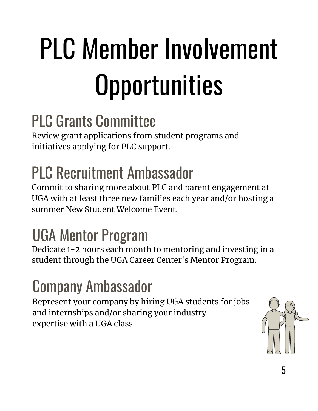# PLC Member Involvement **Opportunities**

#### PLC Grants Committee

Review grant applications from student programs and initiatives applying for PLC support.

### PLC Recruitment Ambassador

Commit to sharing more about PLC and parent engagement at UGA with at least three new families each year and/or hosting a summer New Student Welcome Event.

#### UGA Mentor Program

Dedicate 1-2 hours each month to mentoring and investing in a student through the UGA Career Center's Mentor Program.

#### Company Ambassador

Represent your company by hiring UGA students for jobs and internships and/or sharing your industry expertise with a UGA class.

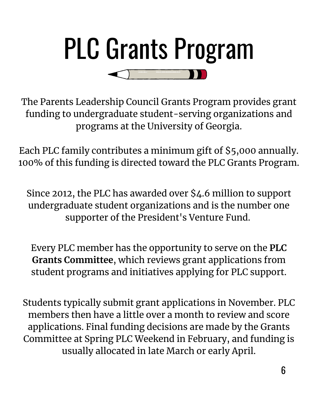

The Parents Leadership Council Grants Program provides grant funding to undergraduate student-serving organizations and programs at the University of Georgia.

Each PLC family contributes a minimum gift of \$5,000 annually. 100% of this funding is directed toward the PLC Grants Program.

Since 2012, the PLC has awarded over \$4.6 million to support undergraduate student organizations and is the number one supporter of the President's Venture Fund.

Every PLC member has the opportunity to serve on the **PLC Grants Committee**, which reviews grant applications from student programs and initiatives applying for PLC support.

Students typically submit grant applications in November. PLC members then have a little over a month to review and score applications. Final funding decisions are made by the Grants Committee at Spring PLC Weekend in February, and funding is usually allocated in late March or early April.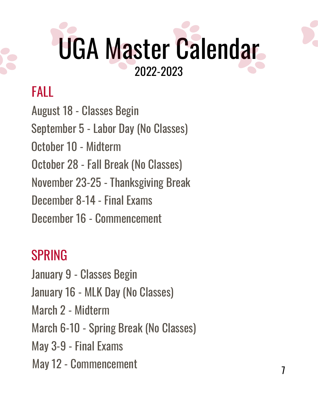### UGA Master Calendar 2022-2023

#### FALL

September 5 - Labor Day (No Classes) October 10 - Midterm October 28 - Fall Break (No Classes) November 23-25 - Thanksgiving Break December 8-14 - Final Exams December 16 - Commencement August 18 - Classes Begin

#### SPRING

January 9 - Classes Begin January 16 - MLK Day (No Classes) March 2 - Midterm March 6-10 - Spring Break (No Classes) May 3-9 - Final Exams

May 12 - Commencement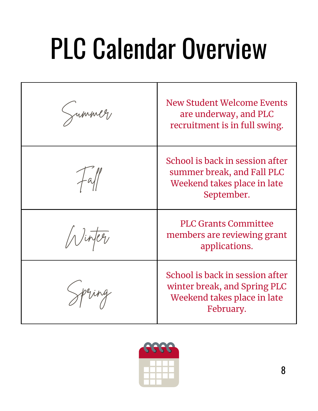# PLC Calendar Overview

| Jummer | New Student Welcome Events<br>are underway, and PLC<br>recruitment is in full swing.                        |
|--------|-------------------------------------------------------------------------------------------------------------|
|        | School is back in session after<br>summer break, and Fall PLC<br>Weekend takes place in late<br>September.  |
|        | <b>PLC Grants Committee</b><br>members are reviewing grant<br>applications.                                 |
| Spring | School is back in session after<br>winter break, and Spring PLC<br>Weekend takes place in late<br>February. |

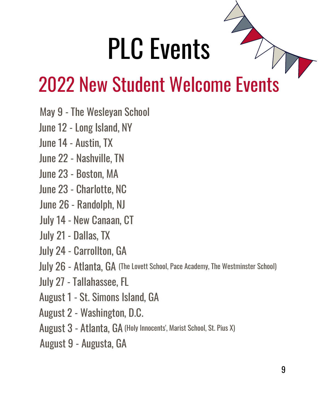### PLC Events

### 2022 New Student Welcome Events

- May 9 The Wesleyan School
- June 12 Long Island, NY
- June 14 Austin, TX
- June 22 Nashville, TN
- June 23 Boston, MA
- June 23 Charlotte, NC
- June 26 Randolph, NJ
- July 14 New Canaan, CT
- July 21 Dallas, TX
- July 24 Carrollton, GA
- July 26 Atlanta, GA (The Lovett School, Pace Academy, The Westminster School)
- July 27 Tallahassee, FL
- August 1 St. Simons Island, GA
- August 2 Washington, D.C.
- August 3 Atlanta, GA (Holy Innocents', Marist School, St. Pius X)
- August 9 Augusta, GA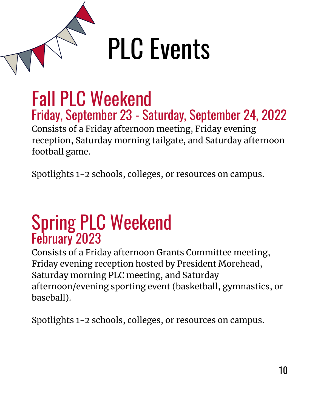

#### Fall PLC Weekend Friday, September 23 - Saturday, September 24, 2022 Consists of a Friday afternoon meeting, Friday evening reception, Saturday morning tailgate, and Saturday afternoon

football game.

Spotlights 1-2 schools, colleges, or resources on campus.

#### Spring PLC Weekend February 2023

Consists of a Friday afternoon Grants Committee meeting, Friday evening reception hosted by President Morehead, Saturday morning PLC meeting, and Saturday afternoon/evening sporting event (basketball, gymnastics, or baseball).

Spotlights 1-2 schools, colleges, or resources on campus.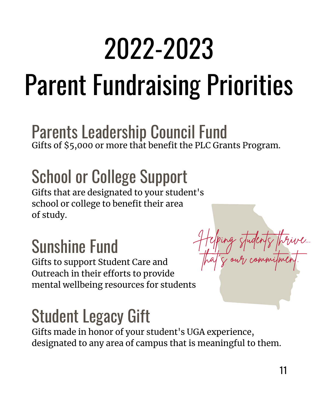### 2022-2023

## Parent Fundraising Priorities

#### Parents Leadership Council Fund Gifts of \$5,000 or more that benefit the PLC Grants Program.

### School or College Support

Gifts that are designated to your student's school or college to benefit their area of study.

#### Sunshine Fund

Gifts to support Student Care and Outreach in their efforts to provide mental wellbeing resources for students

#### Student Legacy Gift

Gifts made in honor of your student's UGA experience, designated to any area of campus that is meaningful to them.

Helping students thrive...

that's our commitment.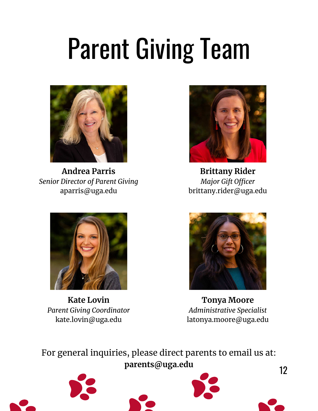### Parent Giving Team



**Andrea Parris** *Senior Director of Parent Giving* aparris@uga.edu



**Brittany Rider** *Major Gift Officer* brittany.rider@uga.edu



**Kate Lovin** *Parent Giving Coordinator* kate.lovin@uga.edu



**Tonya Moore** *Administrative Specialist* latonya.moore@uga.edu

For general inquiries, please direct parents to email us at: **parents@uga.edu**